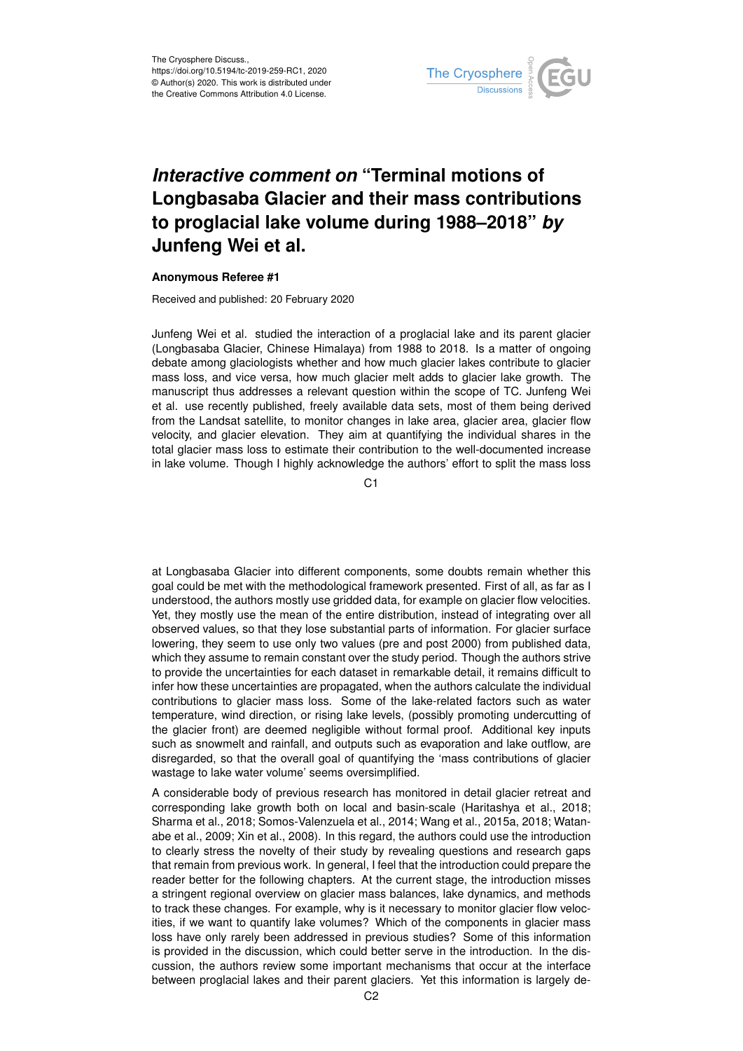

# *Interactive comment on* **"Terminal motions of Longbasaba Glacier and their mass contributions to proglacial lake volume during 1988–2018"** *by* **Junfeng Wei et al.**

#### **Anonymous Referee #1**

Received and published: 20 February 2020

Junfeng Wei et al. studied the interaction of a proglacial lake and its parent glacier (Longbasaba Glacier, Chinese Himalaya) from 1988 to 2018. Is a matter of ongoing debate among glaciologists whether and how much glacier lakes contribute to glacier mass loss, and vice versa, how much glacier melt adds to glacier lake growth. The manuscript thus addresses a relevant question within the scope of TC. Junfeng Wei et al. use recently published, freely available data sets, most of them being derived from the Landsat satellite, to monitor changes in lake area, glacier area, glacier flow velocity, and glacier elevation. They aim at quantifying the individual shares in the total glacier mass loss to estimate their contribution to the well-documented increase in lake volume. Though I highly acknowledge the authors' effort to split the mass loss

C<sub>1</sub>

at Longbasaba Glacier into different components, some doubts remain whether this goal could be met with the methodological framework presented. First of all, as far as I understood, the authors mostly use gridded data, for example on glacier flow velocities. Yet, they mostly use the mean of the entire distribution, instead of integrating over all observed values, so that they lose substantial parts of information. For glacier surface lowering, they seem to use only two values (pre and post 2000) from published data, which they assume to remain constant over the study period. Though the authors strive to provide the uncertainties for each dataset in remarkable detail, it remains difficult to infer how these uncertainties are propagated, when the authors calculate the individual contributions to glacier mass loss. Some of the lake-related factors such as water temperature, wind direction, or rising lake levels, (possibly promoting undercutting of the glacier front) are deemed negligible without formal proof. Additional key inputs such as snowmelt and rainfall, and outputs such as evaporation and lake outflow, are disregarded, so that the overall goal of quantifying the 'mass contributions of glacier wastage to lake water volume' seems oversimplified.

A considerable body of previous research has monitored in detail glacier retreat and corresponding lake growth both on local and basin-scale (Haritashya et al., 2018; Sharma et al., 2018; Somos-Valenzuela et al., 2014; Wang et al., 2015a, 2018; Watanabe et al., 2009; Xin et al., 2008). In this regard, the authors could use the introduction to clearly stress the novelty of their study by revealing questions and research gaps that remain from previous work. In general, I feel that the introduction could prepare the reader better for the following chapters. At the current stage, the introduction misses a stringent regional overview on glacier mass balances, lake dynamics, and methods to track these changes. For example, why is it necessary to monitor glacier flow velocities, if we want to quantify lake volumes? Which of the components in glacier mass loss have only rarely been addressed in previous studies? Some of this information is provided in the discussion, which could better serve in the introduction. In the discussion, the authors review some important mechanisms that occur at the interface between proglacial lakes and their parent glaciers. Yet this information is largely de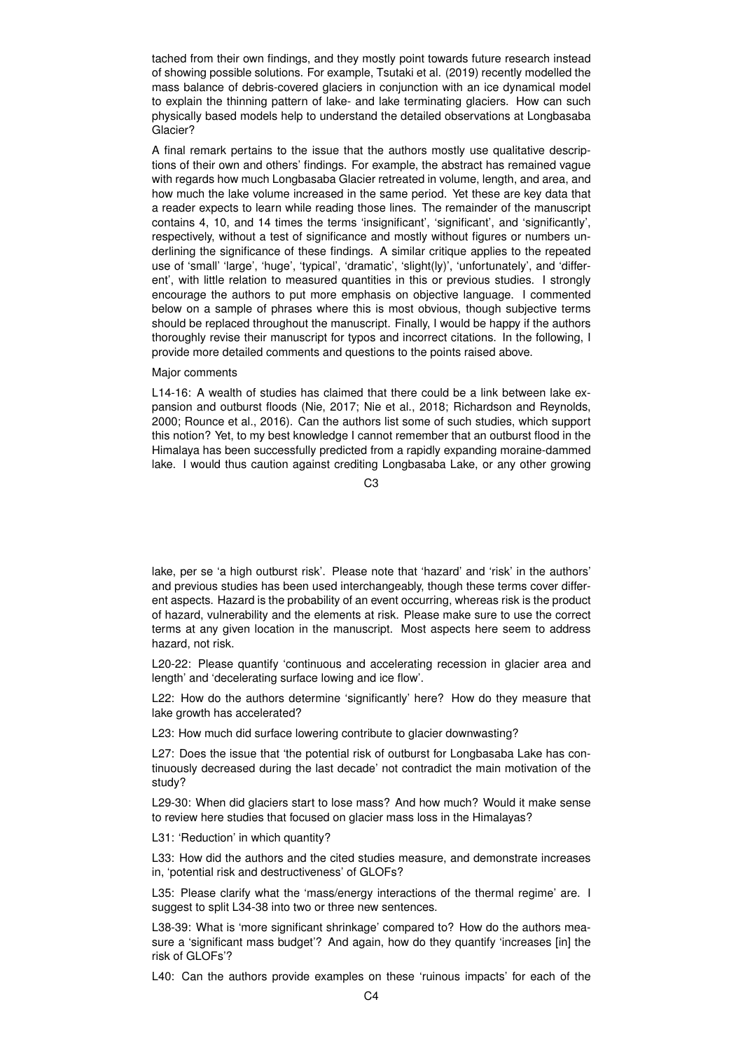tached from their own findings, and they mostly point towards future research instead of showing possible solutions. For example, Tsutaki et al. (2019) recently modelled the mass balance of debris-covered glaciers in conjunction with an ice dynamical model to explain the thinning pattern of lake- and lake terminating glaciers. How can such physically based models help to understand the detailed observations at Longbasaba Glacier?

A final remark pertains to the issue that the authors mostly use qualitative descriptions of their own and others' findings. For example, the abstract has remained vague with regards how much Longbasaba Glacier retreated in volume, length, and area, and how much the lake volume increased in the same period. Yet these are key data that a reader expects to learn while reading those lines. The remainder of the manuscript contains 4, 10, and 14 times the terms 'insignificant', 'significant', and 'significantly', respectively, without a test of significance and mostly without figures or numbers underlining the significance of these findings. A similar critique applies to the repeated use of 'small' 'large', 'huge', 'typical', 'dramatic', 'slight(ly)', 'unfortunately', and 'different', with little relation to measured quantities in this or previous studies. I strongly encourage the authors to put more emphasis on objective language. I commented below on a sample of phrases where this is most obvious, though subjective terms should be replaced throughout the manuscript. Finally, I would be happy if the authors thoroughly revise their manuscript for typos and incorrect citations. In the following, I provide more detailed comments and questions to the points raised above.

#### Major comments

L14-16: A wealth of studies has claimed that there could be a link between lake expansion and outburst floods (Nie, 2017; Nie et al., 2018; Richardson and Reynolds, 2000; Rounce et al., 2016). Can the authors list some of such studies, which support this notion? Yet, to my best knowledge I cannot remember that an outburst flood in the Himalaya has been successfully predicted from a rapidly expanding moraine-dammed lake. I would thus caution against crediting Longbasaba Lake, or any other growing

 $C<sub>3</sub>$ 

lake, per se 'a high outburst risk'. Please note that 'hazard' and 'risk' in the authors' and previous studies has been used interchangeably, though these terms cover different aspects. Hazard is the probability of an event occurring, whereas risk is the product of hazard, vulnerability and the elements at risk. Please make sure to use the correct terms at any given location in the manuscript. Most aspects here seem to address hazard, not risk.

L20-22: Please quantify 'continuous and accelerating recession in glacier area and length' and 'decelerating surface lowing and ice flow'.

L22: How do the authors determine 'significantly' here? How do they measure that lake growth has accelerated?

L23: How much did surface lowering contribute to glacier downwasting?

L27: Does the issue that 'the potential risk of outburst for Longbasaba Lake has continuously decreased during the last decade' not contradict the main motivation of the study?

L29-30: When did glaciers start to lose mass? And how much? Would it make sense to review here studies that focused on glacier mass loss in the Himalayas?

L31: 'Reduction' in which quantity?

L33: How did the authors and the cited studies measure, and demonstrate increases in, 'potential risk and destructiveness' of GLOFs?

L35: Please clarify what the 'mass/energy interactions of the thermal regime' are. I suggest to split L34-38 into two or three new sentences.

L38-39: What is 'more significant shrinkage' compared to? How do the authors measure a 'significant mass budget'? And again, how do they quantify 'increases [in] the risk of GLOFs'?

L40: Can the authors provide examples on these 'ruinous impacts' for each of the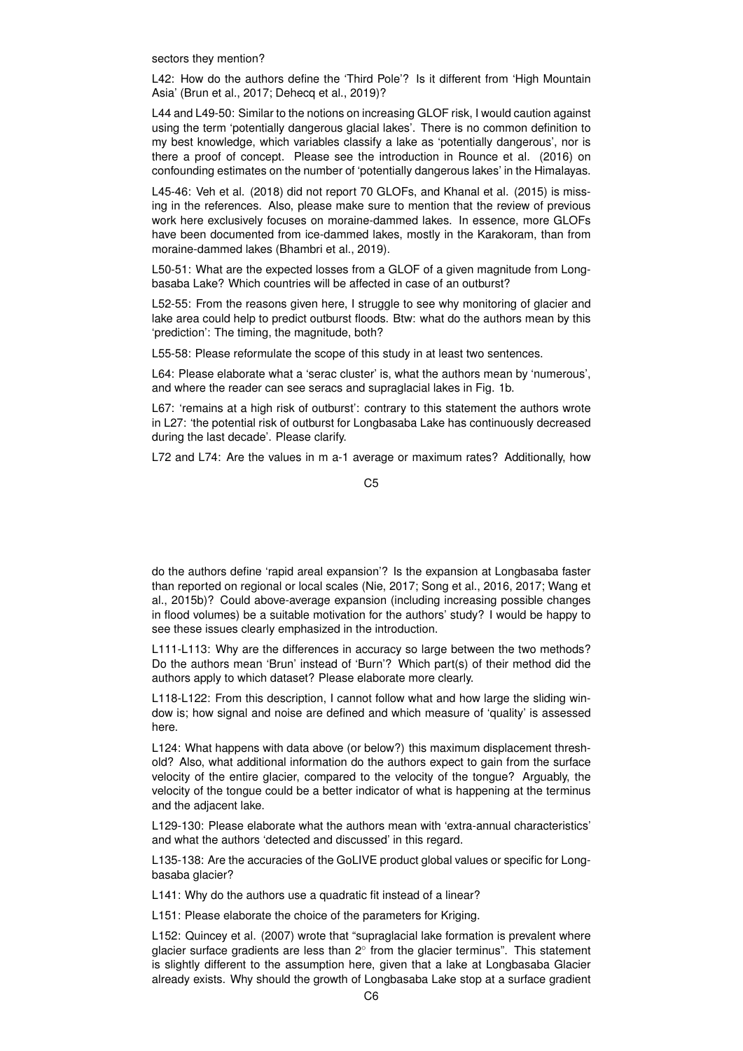sectors they mention?

L42: How do the authors define the 'Third Pole'? Is it different from 'High Mountain Asia' (Brun et al., 2017; Dehecq et al., 2019)?

L44 and L49-50: Similar to the notions on increasing GLOF risk, I would caution against using the term 'potentially dangerous glacial lakes'. There is no common definition to my best knowledge, which variables classify a lake as 'potentially dangerous', nor is there a proof of concept. Please see the introduction in Rounce et al. (2016) on confounding estimates on the number of 'potentially dangerous lakes' in the Himalayas.

L45-46: Veh et al. (2018) did not report 70 GLOFs, and Khanal et al. (2015) is missing in the references. Also, please make sure to mention that the review of previous work here exclusively focuses on moraine-dammed lakes. In essence, more GLOFs have been documented from ice-dammed lakes, mostly in the Karakoram, than from moraine-dammed lakes (Bhambri et al., 2019).

L50-51: What are the expected losses from a GLOF of a given magnitude from Longbasaba Lake? Which countries will be affected in case of an outburst?

L52-55: From the reasons given here, I struggle to see why monitoring of glacier and lake area could help to predict outburst floods. Btw: what do the authors mean by this 'prediction': The timing, the magnitude, both?

L55-58: Please reformulate the scope of this study in at least two sentences.

L64: Please elaborate what a 'serac cluster' is, what the authors mean by 'numerous', and where the reader can see seracs and supraglacial lakes in Fig. 1b.

L67: 'remains at a high risk of outburst': contrary to this statement the authors wrote in L27: 'the potential risk of outburst for Longbasaba Lake has continuously decreased during the last decade'. Please clarify.

L72 and L74: Are the values in m a-1 average or maximum rates? Additionally, how

do the authors define 'rapid areal expansion'? Is the expansion at Longbasaba faster than reported on regional or local scales (Nie, 2017; Song et al., 2016, 2017; Wang et al., 2015b)? Could above-average expansion (including increasing possible changes in flood volumes) be a suitable motivation for the authors' study? I would be happy to see these issues clearly emphasized in the introduction.

L111-L113: Why are the differences in accuracy so large between the two methods? Do the authors mean 'Brun' instead of 'Burn'? Which part(s) of their method did the authors apply to which dataset? Please elaborate more clearly.

L118-L122: From this description, I cannot follow what and how large the sliding window is; how signal and noise are defined and which measure of 'quality' is assessed here.

L124: What happens with data above (or below?) this maximum displacement threshold? Also, what additional information do the authors expect to gain from the surface velocity of the entire glacier, compared to the velocity of the tongue? Arguably, the velocity of the tongue could be a better indicator of what is happening at the terminus and the adjacent lake.

L129-130: Please elaborate what the authors mean with 'extra-annual characteristics' and what the authors 'detected and discussed' in this regard.

L135-138: Are the accuracies of the GoLIVE product global values or specific for Longbasaba glacier?

L141: Why do the authors use a quadratic fit instead of a linear?

L151: Please elaborate the choice of the parameters for Kriging.

L152: Quincey et al. (2007) wrote that "supraglacial lake formation is prevalent where glacier surface gradients are less than 2 $^{\circ}$  from the glacier terminus". This statement is slightly different to the assumption here, given that a lake at Longbasaba Glacier already exists. Why should the growth of Longbasaba Lake stop at a surface gradient

C5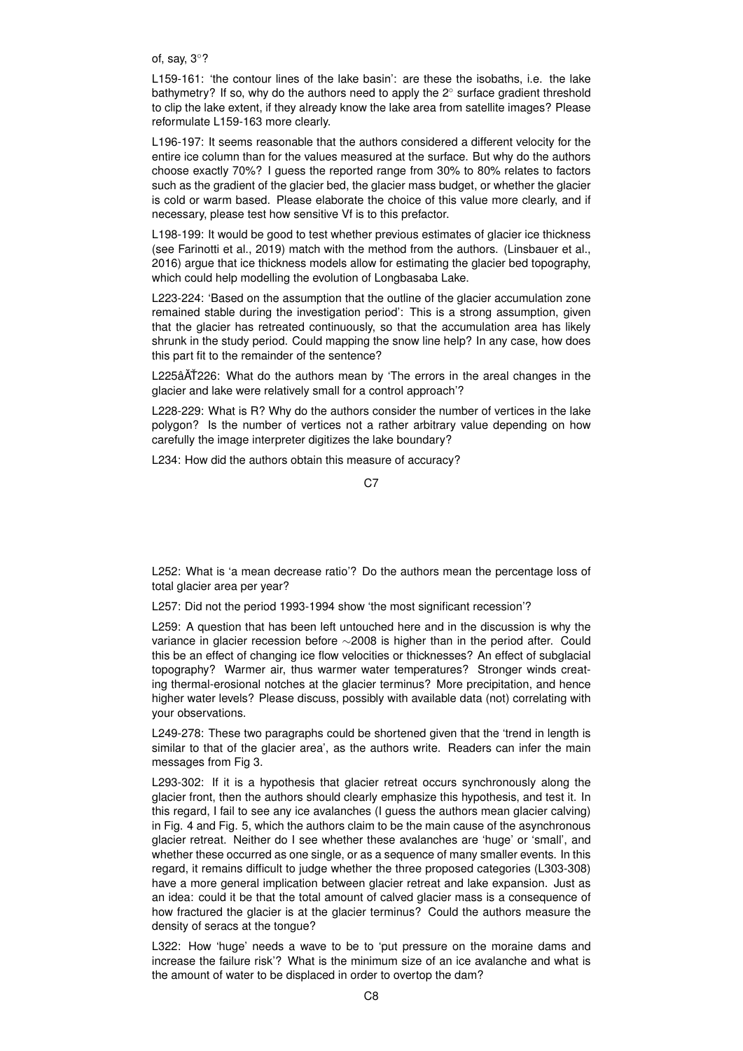of, say, 3◦?

L159-161: 'the contour lines of the lake basin': are these the isobaths, i.e. the lake bathymetry? If so, why do the authors need to apply the 2◦ surface gradient threshold to clip the lake extent, if they already know the lake area from satellite images? Please reformulate L159-163 more clearly.

L196-197: It seems reasonable that the authors considered a different velocity for the entire ice column than for the values measured at the surface. But why do the authors choose exactly 70%? I guess the reported range from 30% to 80% relates to factors such as the gradient of the glacier bed, the glacier mass budget, or whether the glacier is cold or warm based. Please elaborate the choice of this value more clearly, and if necessary, please test how sensitive Vf is to this prefactor.

L198-199: It would be good to test whether previous estimates of glacier ice thickness (see Farinotti et al., 2019) match with the method from the authors. (Linsbauer et al., 2016) argue that ice thickness models allow for estimating the glacier bed topography, which could help modelling the evolution of Longbasaba Lake.

L223-224: 'Based on the assumption that the outline of the glacier accumulation zone remained stable during the investigation period': This is a strong assumption, given that the glacier has retreated continuously, so that the accumulation area has likely shrunk in the study period. Could mapping the snow line help? In any case, how does this part fit to the remainder of the sentence?

L225âAT226: What do the authors mean by 'The errors in the areal changes in the glacier and lake were relatively small for a control approach'?

L228-229: What is R? Why do the authors consider the number of vertices in the lake polygon? Is the number of vertices not a rather arbitrary value depending on how carefully the image interpreter digitizes the lake boundary?

L234: How did the authors obtain this measure of accuracy?

C7

L252: What is 'a mean decrease ratio'? Do the authors mean the percentage loss of total glacier area per year?

L257: Did not the period 1993-1994 show 'the most significant recession'?

L259: A question that has been left untouched here and in the discussion is why the variance in glacier recession before ∼2008 is higher than in the period after. Could this be an effect of changing ice flow velocities or thicknesses? An effect of subglacial topography? Warmer air, thus warmer water temperatures? Stronger winds creating thermal-erosional notches at the glacier terminus? More precipitation, and hence higher water levels? Please discuss, possibly with available data (not) correlating with your observations.

L249-278: These two paragraphs could be shortened given that the 'trend in length is similar to that of the glacier area', as the authors write. Readers can infer the main messages from Fig 3.

L293-302: If it is a hypothesis that glacier retreat occurs synchronously along the glacier front, then the authors should clearly emphasize this hypothesis, and test it. In this regard, I fail to see any ice avalanches (I guess the authors mean glacier calving) in Fig. 4 and Fig. 5, which the authors claim to be the main cause of the asynchronous glacier retreat. Neither do I see whether these avalanches are 'huge' or 'small', and whether these occurred as one single, or as a sequence of many smaller events. In this regard, it remains difficult to judge whether the three proposed categories (L303-308) have a more general implication between glacier retreat and lake expansion. Just as an idea: could it be that the total amount of calved glacier mass is a consequence of how fractured the glacier is at the glacier terminus? Could the authors measure the density of seracs at the tongue?

L322: How 'huge' needs a wave to be to 'put pressure on the moraine dams and increase the failure risk'? What is the minimum size of an ice avalanche and what is the amount of water to be displaced in order to overtop the dam?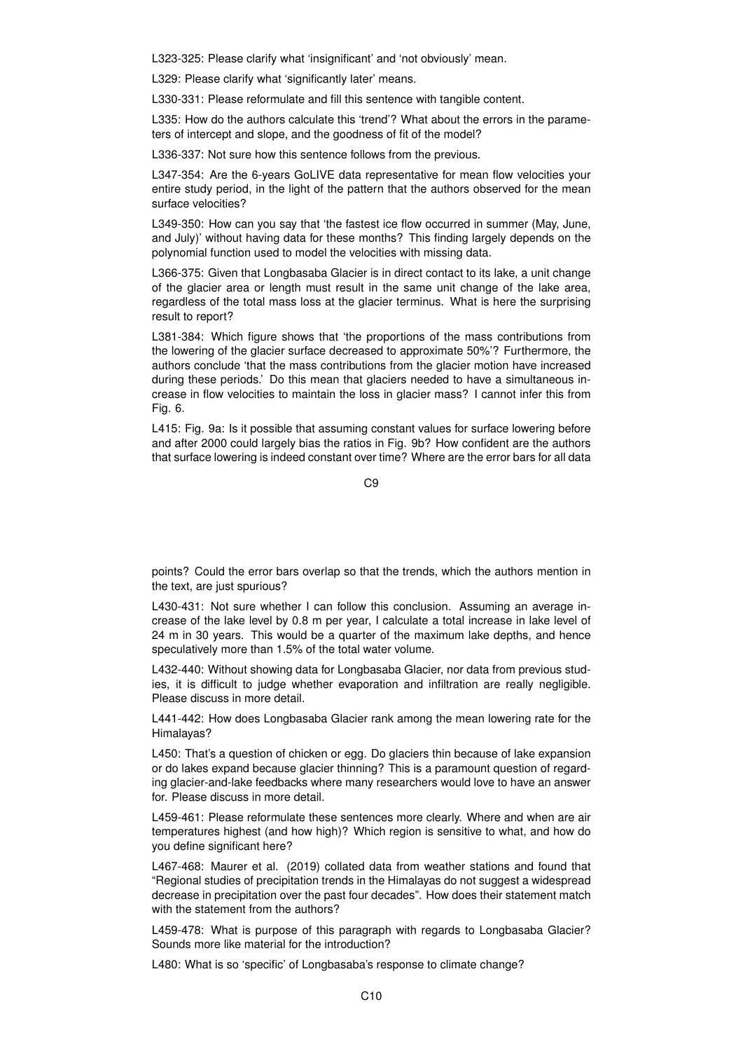L323-325: Please clarify what 'insignificant' and 'not obviously' mean.

L329: Please clarify what 'significantly later' means.

L330-331: Please reformulate and fill this sentence with tangible content.

L335: How do the authors calculate this 'trend'? What about the errors in the parameters of intercept and slope, and the goodness of fit of the model?

L336-337: Not sure how this sentence follows from the previous.

L347-354: Are the 6-years GoLIVE data representative for mean flow velocities your entire study period, in the light of the pattern that the authors observed for the mean surface velocities?

L349-350: How can you say that 'the fastest ice flow occurred in summer (May, June, and July)' without having data for these months? This finding largely depends on the polynomial function used to model the velocities with missing data.

L366-375: Given that Longbasaba Glacier is in direct contact to its lake, a unit change of the glacier area or length must result in the same unit change of the lake area, regardless of the total mass loss at the glacier terminus. What is here the surprising result to report?

L381-384: Which figure shows that 'the proportions of the mass contributions from the lowering of the glacier surface decreased to approximate 50%'? Furthermore, the authors conclude 'that the mass contributions from the glacier motion have increased during these periods.' Do this mean that glaciers needed to have a simultaneous increase in flow velocities to maintain the loss in glacier mass? I cannot infer this from Fig. 6.

L415: Fig. 9a: Is it possible that assuming constant values for surface lowering before and after 2000 could largely bias the ratios in Fig. 9b? How confident are the authors that surface lowering is indeed constant over time? Where are the error bars for all data

 $C9$ 

points? Could the error bars overlap so that the trends, which the authors mention in the text, are just spurious?

L430-431: Not sure whether I can follow this conclusion. Assuming an average increase of the lake level by 0.8 m per year, I calculate a total increase in lake level of 24 m in 30 years. This would be a quarter of the maximum lake depths, and hence speculatively more than 1.5% of the total water volume.

L432-440: Without showing data for Longbasaba Glacier, nor data from previous studies, it is difficult to judge whether evaporation and infiltration are really negligible. Please discuss in more detail.

L441-442: How does Longbasaba Glacier rank among the mean lowering rate for the Himalayas?

L450: That's a question of chicken or egg. Do glaciers thin because of lake expansion or do lakes expand because glacier thinning? This is a paramount question of regarding glacier-and-lake feedbacks where many researchers would love to have an answer for. Please discuss in more detail.

L459-461: Please reformulate these sentences more clearly. Where and when are air temperatures highest (and how high)? Which region is sensitive to what, and how do you define significant here?

L467-468: Maurer et al. (2019) collated data from weather stations and found that "Regional studies of precipitation trends in the Himalayas do not suggest a widespread decrease in precipitation over the past four decades". How does their statement match with the statement from the authors?

L459-478: What is purpose of this paragraph with regards to Longbasaba Glacier? Sounds more like material for the introduction?

L480: What is so 'specific' of Longbasaba's response to climate change?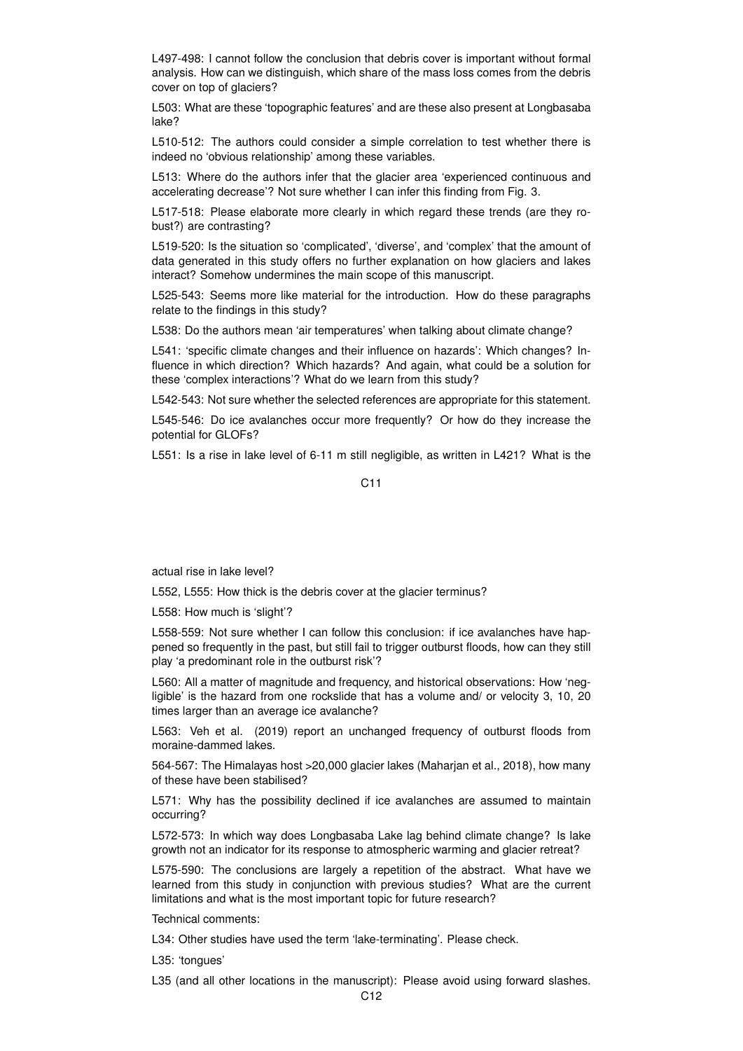L497-498: I cannot follow the conclusion that debris cover is important without formal analysis. How can we distinguish, which share of the mass loss comes from the debris cover on top of glaciers?

L503: What are these 'topographic features' and are these also present at Longbasaba lake?

L510-512: The authors could consider a simple correlation to test whether there is indeed no 'obvious relationship' among these variables.

L513: Where do the authors infer that the glacier area 'experienced continuous and accelerating decrease'? Not sure whether I can infer this finding from Fig. 3.

L517-518: Please elaborate more clearly in which regard these trends (are they robust?) are contrasting?

L519-520: Is the situation so 'complicated', 'diverse', and 'complex' that the amount of data generated in this study offers no further explanation on how glaciers and lakes interact? Somehow undermines the main scope of this manuscript.

L525-543: Seems more like material for the introduction. How do these paragraphs relate to the findings in this study?

L538: Do the authors mean 'air temperatures' when talking about climate change?

L541: 'specific climate changes and their influence on hazards': Which changes? Influence in which direction? Which hazards? And again, what could be a solution for these 'complex interactions'? What do we learn from this study?

L542-543: Not sure whether the selected references are appropriate for this statement.

L545-546: Do ice avalanches occur more frequently? Or how do they increase the potential for GLOFs?

L551: Is a rise in lake level of 6-11 m still negligible, as written in L421? What is the

## C11

actual rise in lake level?

L552, L555: How thick is the debris cover at the glacier terminus?

L558: How much is 'slight'?

L558-559: Not sure whether I can follow this conclusion: if ice avalanches have happened so frequently in the past, but still fail to trigger outburst floods, how can they still play 'a predominant role in the outburst risk'?

L560: All a matter of magnitude and frequency, and historical observations: How 'negligible' is the hazard from one rockslide that has a volume and/ or velocity 3, 10, 20 times larger than an average ice avalanche?

L563: Veh et al. (2019) report an unchanged frequency of outburst floods from moraine-dammed lakes.

564-567: The Himalayas host >20,000 glacier lakes (Maharjan et al., 2018), how many of these have been stabilised?

L571: Why has the possibility declined if ice avalanches are assumed to maintain occurring?

L572-573: In which way does Longbasaba Lake lag behind climate change? Is lake growth not an indicator for its response to atmospheric warming and glacier retreat?

L575-590: The conclusions are largely a repetition of the abstract. What have we learned from this study in conjunction with previous studies? What are the current limitations and what is the most important topic for future research?

Technical comments:

L34: Other studies have used the term 'lake-terminating'. Please check.

L35: 'tongues'

L35 (and all other locations in the manuscript): Please avoid using forward slashes.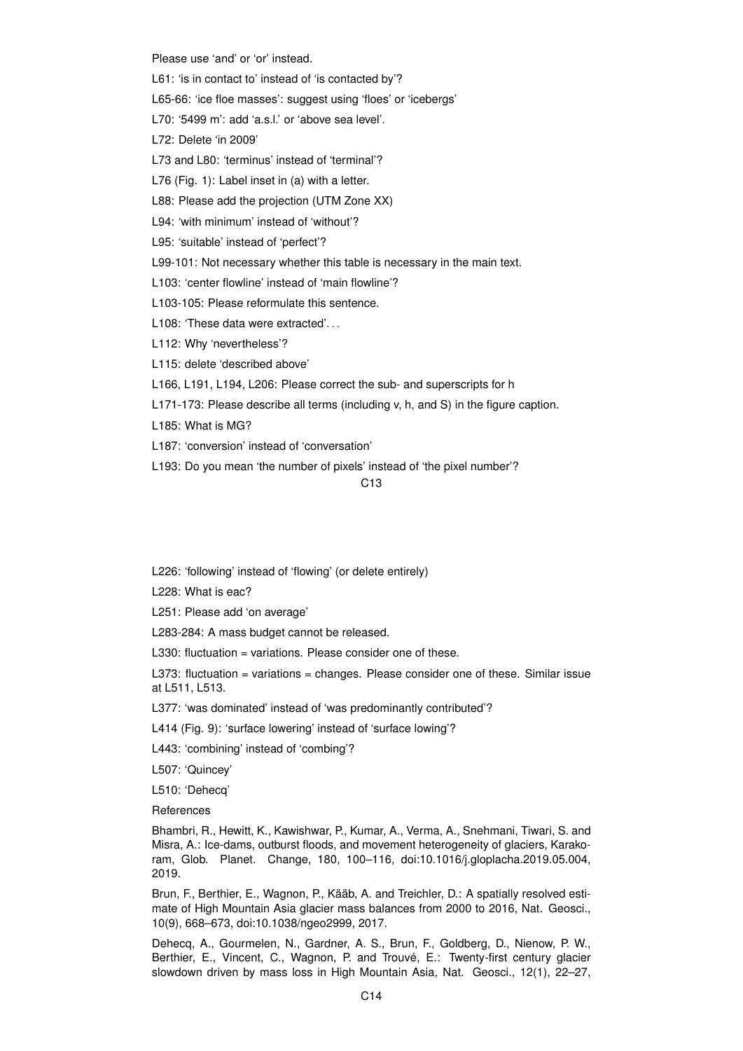Please use 'and' or 'or' instead.

- L61: 'is in contact to' instead of 'is contacted by'?
- L65-66: 'ice floe masses': suggest using 'floes' or 'icebergs'
- L70: '5499 m': add 'a.s.l.' or 'above sea level'.
- L72: Delete 'in 2009'
- L73 and L80: 'terminus' instead of 'terminal'?
- L76 (Fig. 1): Label inset in (a) with a letter.
- L88: Please add the projection (UTM Zone XX)
- L94: 'with minimum' instead of 'without'?
- L95: 'suitable' instead of 'perfect'?
- L99-101: Not necessary whether this table is necessary in the main text.
- L103: 'center flowline' instead of 'main flowline'?
- L103-105: Please reformulate this sentence.
- L108: 'These data were extracted'...
- L112: Why 'nevertheless'?
- L115: delete 'described above'
- L166, L191, L194, L206: Please correct the sub- and superscripts for h
- L171-173: Please describe all terms (including v, h, and S) in the figure caption.
- L185: What is MG?
- L187: 'conversion' instead of 'conversation'
- L193: Do you mean 'the number of pixels' instead of 'the pixel number'?

### C13

- L226: 'following' instead of 'flowing' (or delete entirely)
- L228: What is eac?
- L251: Please add 'on average'
- L283-284: A mass budget cannot be released.
- L330: fluctuation = variations. Please consider one of these.
- L373: fluctuation = variations = changes. Please consider one of these. Similar issue at L511, L513.
- L377: 'was dominated' instead of 'was predominantly contributed'?
- L414 (Fig. 9): 'surface lowering' instead of 'surface lowing'?
- L443: 'combining' instead of 'combing'?
- L507: 'Quincey'
- L510: 'Dehecq'
- References

Bhambri, R., Hewitt, K., Kawishwar, P., Kumar, A., Verma, A., Snehmani, Tiwari, S. and Misra, A.: Ice-dams, outburst floods, and movement heterogeneity of glaciers, Karakoram, Glob. Planet. Change, 180, 100–116, doi:10.1016/j.gloplacha.2019.05.004, 2019.

Brun, F., Berthier, E., Wagnon, P., Kääb, A. and Treichler, D.: A spatially resolved estimate of High Mountain Asia glacier mass balances from 2000 to 2016, Nat. Geosci., 10(9), 668–673, doi:10.1038/ngeo2999, 2017.

Dehecq, A., Gourmelen, N., Gardner, A. S., Brun, F., Goldberg, D., Nienow, P. W., Berthier, E., Vincent, C., Wagnon, P. and Trouvé, E.: Twenty-first century glacier slowdown driven by mass loss in High Mountain Asia, Nat. Geosci., 12(1), 22–27,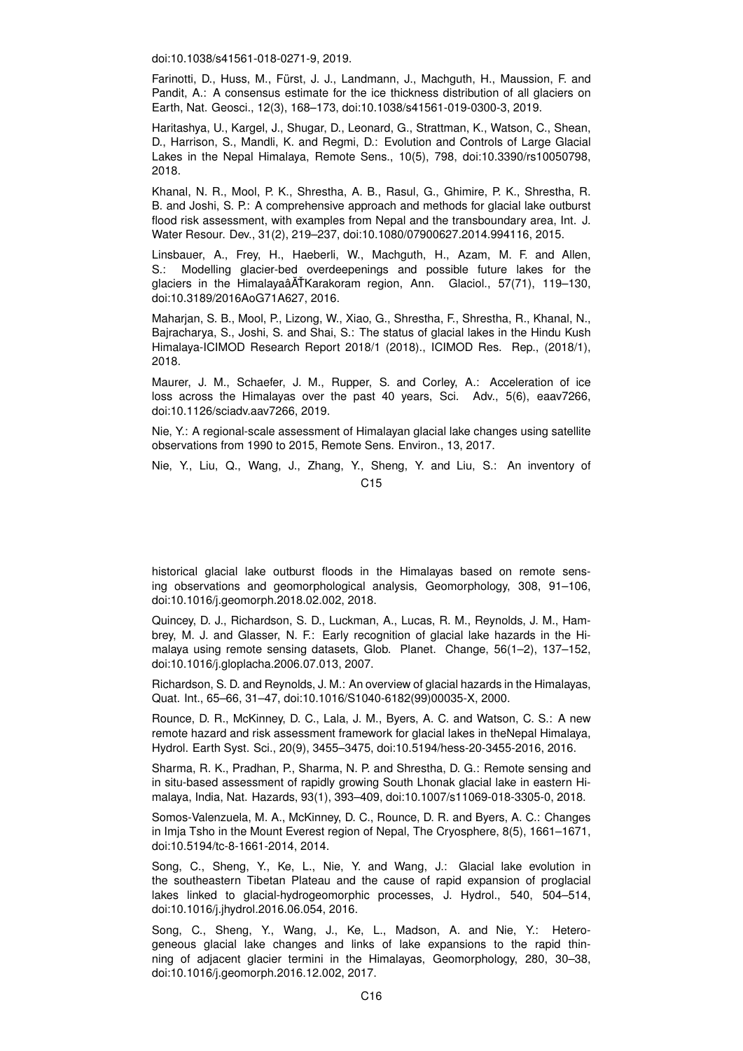doi:10.1038/s41561-018-0271-9, 2019.

Farinotti, D., Huss, M., Fürst, J. J., Landmann, J., Machguth, H., Maussion, F. and Pandit, A.: A consensus estimate for the ice thickness distribution of all glaciers on Earth, Nat. Geosci., 12(3), 168–173, doi:10.1038/s41561-019-0300-3, 2019.

Haritashya, U., Kargel, J., Shugar, D., Leonard, G., Strattman, K., Watson, C., Shean, D., Harrison, S., Mandli, K. and Regmi, D.: Evolution and Controls of Large Glacial Lakes in the Nepal Himalaya, Remote Sens., 10(5), 798, doi:10.3390/rs10050798, 2018.

Khanal, N. R., Mool, P. K., Shrestha, A. B., Rasul, G., Ghimire, P. K., Shrestha, R. B. and Joshi, S. P.: A comprehensive approach and methods for glacial lake outburst flood risk assessment, with examples from Nepal and the transboundary area, Int. J. Water Resour. Dev., 31(2), 219–237, doi:10.1080/07900627.2014.994116, 2015.

Linsbauer, A., Frey, H., Haeberli, W., Machguth, H., Azam, M. F. and Allen, S.: Modelling glacier-bed overdeepenings and possible future lakes for the glaciers in the Himalayaâ $\tilde{A}$ TKarakoram region, Ann. Glaciol., 57(71), 119–130, doi:10.3189/2016AoG71A627, 2016.

Maharjan, S. B., Mool, P., Lizong, W., Xiao, G., Shrestha, F., Shrestha, R., Khanal, N., Bajracharya, S., Joshi, S. and Shai, S.: The status of glacial lakes in the Hindu Kush Himalaya-ICIMOD Research Report 2018/1 (2018)., ICIMOD Res. Rep., (2018/1), 2018.

Maurer, J. M., Schaefer, J. M., Rupper, S. and Corley, A.: Acceleration of ice loss across the Himalayas over the past 40 years, Sci. Adv., 5(6), eaav7266, doi:10.1126/sciadv.aav7266, 2019.

Nie, Y.: A regional-scale assessment of Himalayan glacial lake changes using satellite observations from 1990 to 2015, Remote Sens. Environ., 13, 2017.

Nie, Y., Liu, Q., Wang, J., Zhang, Y., Sheng, Y. and Liu, S.: An inventory of C<sub>15</sub>

historical glacial lake outburst floods in the Himalayas based on remote sensing observations and geomorphological analysis, Geomorphology, 308, 91–106, doi:10.1016/j.geomorph.2018.02.002, 2018.

Quincey, D. J., Richardson, S. D., Luckman, A., Lucas, R. M., Reynolds, J. M., Hambrey, M. J. and Glasser, N. F.: Early recognition of glacial lake hazards in the Himalaya using remote sensing datasets, Glob. Planet. Change, 56(1–2), 137–152, doi:10.1016/j.gloplacha.2006.07.013, 2007.

Richardson, S. D. and Reynolds, J. M.: An overview of glacial hazards in the Himalayas, Quat. Int., 65–66, 31–47, doi:10.1016/S1040-6182(99)00035-X, 2000.

Rounce, D. R., McKinney, D. C., Lala, J. M., Byers, A. C. and Watson, C. S.: A new remote hazard and risk assessment framework for glacial lakes in theNepal Himalaya, Hydrol. Earth Syst. Sci., 20(9), 3455–3475, doi:10.5194/hess-20-3455-2016, 2016.

Sharma, R. K., Pradhan, P., Sharma, N. P. and Shrestha, D. G.: Remote sensing and in situ-based assessment of rapidly growing South Lhonak glacial lake in eastern Himalaya, India, Nat. Hazards, 93(1), 393–409, doi:10.1007/s11069-018-3305-0, 2018.

Somos-Valenzuela, M. A., McKinney, D. C., Rounce, D. R. and Byers, A. C.: Changes in Imja Tsho in the Mount Everest region of Nepal, The Cryosphere, 8(5), 1661–1671, doi:10.5194/tc-8-1661-2014, 2014.

Song, C., Sheng, Y., Ke, L., Nie, Y. and Wang, J.: Glacial lake evolution in the southeastern Tibetan Plateau and the cause of rapid expansion of proglacial lakes linked to glacial-hydrogeomorphic processes, J. Hydrol., 540, 504–514, doi:10.1016/j.jhydrol.2016.06.054, 2016.

Song, C., Sheng, Y., Wang, J., Ke, L., Madson, A. and Nie, Y.: Heterogeneous glacial lake changes and links of lake expansions to the rapid thinning of adjacent glacier termini in the Himalayas, Geomorphology, 280, 30–38, doi:10.1016/j.geomorph.2016.12.002, 2017.